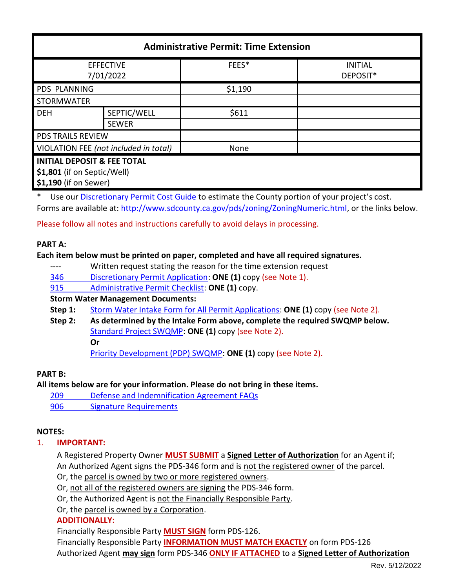| <b>Administrative Permit: Time Extension</b> |              |         |                |  |
|----------------------------------------------|--------------|---------|----------------|--|
| <b>EFFECTIVE</b>                             |              | FEES*   | <b>INITIAL</b> |  |
| 7/01/2022                                    |              |         | DEPOSIT*       |  |
| <b>PDS PLANNING</b>                          |              | \$1,190 |                |  |
| <b>STORMWATER</b>                            |              |         |                |  |
| <b>DEH</b>                                   | SEPTIC/WELL  | \$611   |                |  |
|                                              | <b>SEWER</b> |         |                |  |
| <b>PDS TRAILS REVIEW</b>                     |              |         |                |  |
| VIOLATION FEE (not included in total)        |              | None    |                |  |
| <b>INITIAL DEPOSIT &amp; FEE TOTAL</b>       |              |         |                |  |
| \$1,801 (if on Septic/Well)                  |              |         |                |  |
| \$1,190 (if on Sewer)                        |              |         |                |  |

Use our [Discretionary Permit Cost Guide](http://www.sandiegocounty.gov/content/dam/sdc/pds/docs/Discretionary_Permit_Cost_Guide.xlsx) to estimate the County portion of your project's cost.

Forms are available at[: http://www.sdcounty.ca.gov/pds/zoning/ZoningNumeric.html,](http://www.sdcounty.ca.gov/pds/zoning/ZoningNumeric.html) or the links below.

Please follow all notes and instructions carefully to avoid delays in processing.

#### **PART A:**

#### **Each item below must be printed on paper, completed and have all required signatures.**

- ---- Written request stating the reason for the time extension request
- 346 [Discretionary Permit Application:](https://www.sandiegocounty.gov/content/dam/sdc/pds/zoning/formfields/PDS-PLN-346.pdf) **ONE (1)** copy (see Note 1).
- 915 [Administrative Permit Checklist:](https://www.sandiegocounty.gov/content/dam/sdc/pds/zoning/formfields/PDS-PLN-915.pdf) **ONE (1)** copy.

#### **Storm Water Management Documents:**

- **Step 1:** [Storm Water Intake Form for All Permit Applications:](http://www.sandiegocounty.gov/content/dam/sdc/pds/zoning/formfields/SWQMP-Intake-Form.pdf) **ONE (1)** copy (see Note 2).
- **Step 2: As determined by the Intake Form above, complete the required SWQMP below.** [Standard Project SWQMP:](http://www.sandiegocounty.gov/content/dam/sdc/pds/zoning/formfields/SWQMP-Standard.pdf) **ONE (1)** copy (see Note 2). **Or**

[Priority Development \(PDP\) SWQMP:](https://www.sandiegocounty.gov/content/sdc/dpw/watersheds/DevelopmentandConstruction/BMP_Design_Manual.html) **ONE (1)** copy (see Note 2).

## **PART B:**

## **All items below are for your information. Please do not bring in these items.**

209 [Defense and Indemnification Agreement FAQs](https://www.sandiegocounty.gov/content/dam/sdc/pds/zoning/formfields/PDS-PLN-209.pdf)

[906 Signature Requirements](https://www.sandiegocounty.gov/content/dam/sdc/pds/zoning/formfields/PDS-PLN-906.pdf)

## **NOTES:**

## 1. **IMPORTANT:**

A Registered Property Owner **MUST SUBMIT** a **Signed Letter of Authorization** for an Agent if; An Authorized Agent signs the PDS-346 form and is not the registered owner of the parcel.

- Or, the parcel is owned by two or more registered owners.
- Or, not all of the registered owners are signing the PDS-346 form.
- Or, the Authorized Agent is not the Financially Responsible Party.
- Or, the parcel is owned by a Corporation.

# **ADDITIONALLY:**

Financially Responsible Party **MUST SIGN** form PDS-126.

Financially Responsible Party **INFORMATION MUST MATCH EXACTLY** on form PDS-126 Authorized Agent **may sign** form PDS-346 **ONLY IF ATTACHED** to a **Signed Letter of Authorization**